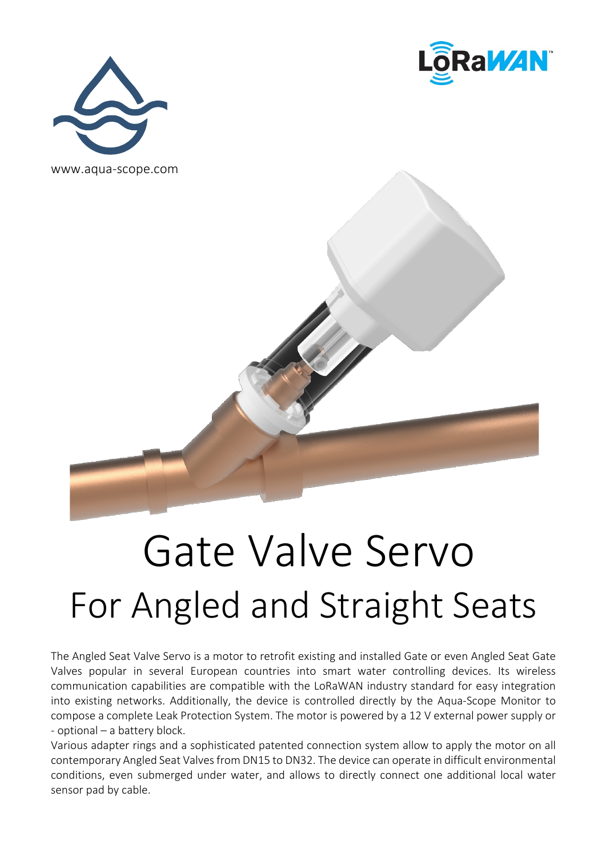





## Gate Valve Servo For Angled and Straight Seats

The Angled Seat Valve Servo is a motor to retrofit existing and installed Gate or even Angled Seat Gate Valves popular in several European countries into smart water controlling devices. Its wireless communication capabilities are compatible with the LoRaWAN industry standard for easy integration into existing networks. Additionally, the device is controlled directly by the Aqua-Scope Monitor to compose a complete Leak Protection System. The motor is powered by a 12 V external power supply or - optional – a battery block.

Various adapter rings and a sophisticated patented connection system allow to apply the motor on all contemporary Angled Seat Valves from DN15 to DN32. The device can operate in difficult environmental conditions, even submerged under water, and allows to directly connect one additional local water sensor pad by cable.